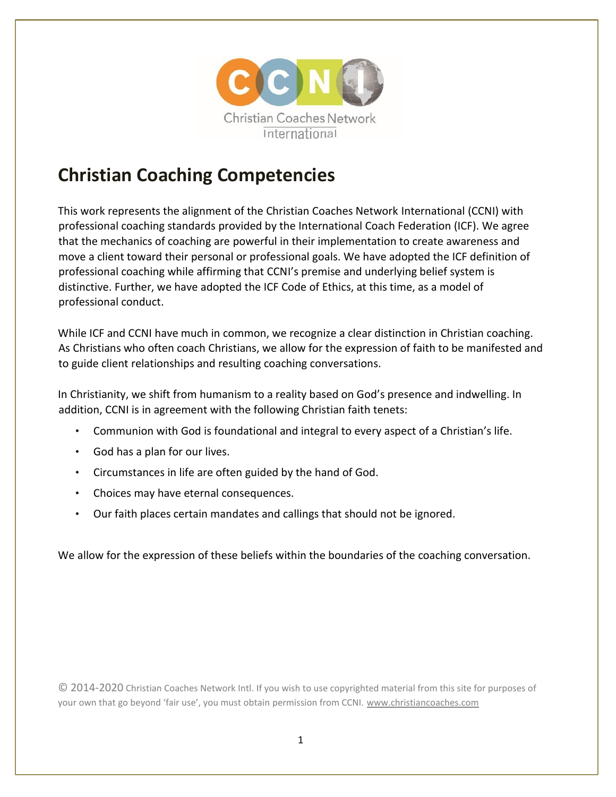

# **Christian Coaching Competencies**

This work represents the alignment of the Christian Coaches Network International (CCNI) with professional coaching standards provided by the International Coach Federation (ICF). We agree that the mechanics of coaching are powerful in their implementation to create awareness and move a client toward their personal or professional goals. We have adopted the ICF definition of professional coaching while affirming that CCNI's premise and underlying belief system is distinctive. Further, we have adopted the ICF Code of Ethics, at this time, as a model of professional conduct.

While ICF and CCNI have much in common, we recognize a clear distinction in Christian coaching. As Christians who often coach Christians, we allow for the expression of faith to be manifested and to guide client relationships and resulting coaching conversations.

In Christianity, we shift from humanism to a reality based on God's presence and indwelling. In addition, CCNI is in agreement with the following Christian faith tenets:

- Communion with God is foundational and integral to every aspect of a Christian's life.
- God has a plan for our lives.
- Circumstances in life are often guided by the hand of God.
- Choices may have eternal consequences.
- Our faith places certain mandates and callings that should not be ignored.

We allow for the expression of these beliefs within the boundaries of the coaching conversation.

© 2014-2020 Christian Coaches Network Intl. If you wish to use copyrighted material from this site for purposes of your own that go beyond 'fair use', you must obtain permission from CCNI. www.christiancoaches.com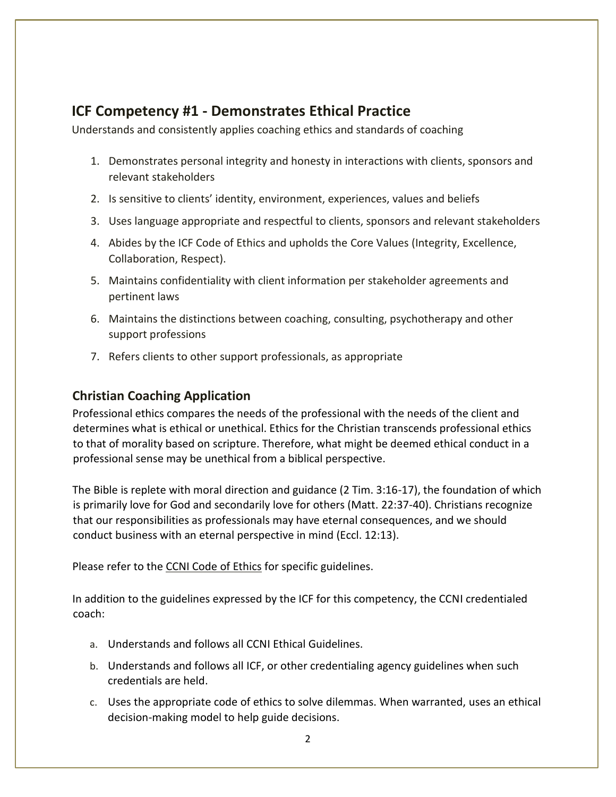# **ICF Competency #1 - Demonstrates Ethical Practice**

Understands and consistently applies coaching ethics and standards of coaching

- 1. Demonstrates personal integrity and honesty in interactions with clients, sponsors and relevant stakeholders
- 2. Is sensitive to clients' identity, environment, experiences, values and beliefs
- 3. Uses language appropriate and respectful to clients, sponsors and relevant stakeholders
- 4. Abides by the ICF Code of Ethics and upholds the Core Values (Integrity, Excellence, Collaboration, Respect).
- 5. Maintains confidentiality with client information per stakeholder agreements and pertinent laws
- 6. Maintains the distinctions between coaching, consulting, psychotherapy and other support professions
- 7. Refers clients to other support professionals, as appropriate

#### **Christian Coaching Application**

Professional ethics compares the needs of the professional with the needs of the client and determines what is ethical or unethical. Ethics for the Christian transcends professional ethics to that of morality based on scripture. Therefore, what might be deemed ethical conduct in a professional sense may be unethical from a biblical perspective.

The Bible is replete with moral direction and guidance (2 Tim. 3:16-17), the foundation of which is primarily love for God and secondarily love for others (Matt. 22:37-40). Christians recognize that our responsibilities as professionals may have eternal consequences, and we should conduct business with an eternal perspective in mind (Eccl. 12:13).

Please refer to the CCNI [Code of Ethics](https://christiancoaches.com/wp-content/uploads/2017/09/CCNI-Code-of-Ethics.pdf) for specific guidelines.

- a. Understands and follows all CCNI Ethical Guidelines.
- b. Understands and follows all ICF, or other credentialing agency guidelines when such credentials are held.
- c. Uses the appropriate code of ethics to solve dilemmas. When warranted, uses an ethical decision-making model to help guide decisions.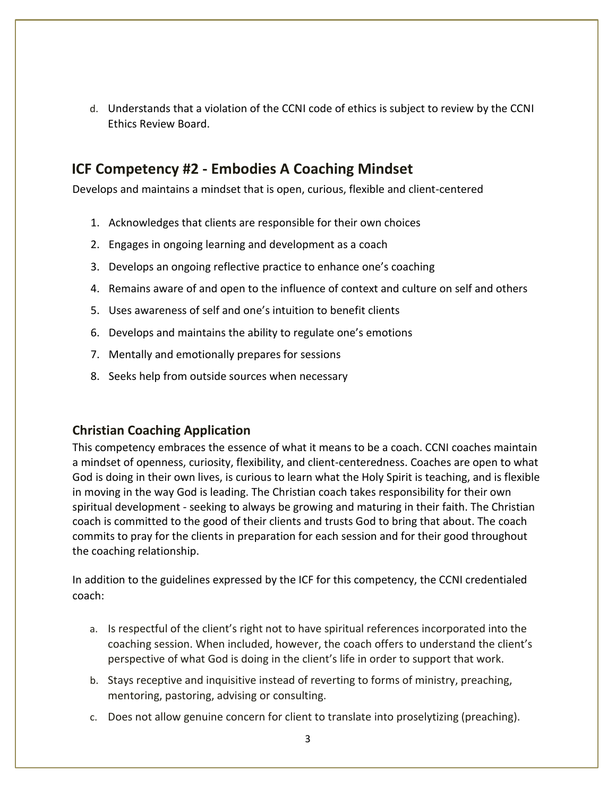d. Understands that a violation of the CCNI code of ethics is subject to review by the CCNI Ethics Review Board.

## **ICF Competency #2 - Embodies A Coaching Mindset**

Develops and maintains a mindset that is open, curious, flexible and client-centered

- 1. Acknowledges that clients are responsible for their own choices
- 2. Engages in ongoing learning and development as a coach
- 3. Develops an ongoing reflective practice to enhance one's coaching
- 4. Remains aware of and open to the influence of context and culture on self and others
- 5. Uses awareness of self and one's intuition to benefit clients
- 6. Develops and maintains the ability to regulate one's emotions
- 7. Mentally and emotionally prepares for sessions
- 8. Seeks help from outside sources when necessary

#### **Christian Coaching Application**

This competency embraces the essence of what it means to be a coach. CCNI coaches maintain a mindset of openness, curiosity, flexibility, and client-centeredness. Coaches are open to what God is doing in their own lives, is curious to learn what the Holy Spirit is teaching, and is flexible in moving in the way God is leading. The Christian coach takes responsibility for their own spiritual development - seeking to always be growing and maturing in their faith. The Christian coach is committed to the good of their clients and trusts God to bring that about. The coach commits to pray for the clients in preparation for each session and for their good throughout the coaching relationship.

- a. Is respectful of the client's right not to have spiritual references incorporated into the coaching session. When included, however, the coach offers to understand the client's perspective of what God is doing in the client's life in order to support that work.
- b. Stays receptive and inquisitive instead of reverting to forms of ministry, preaching, mentoring, pastoring, advising or consulting.
- c. Does not allow genuine concern for client to translate into proselytizing (preaching).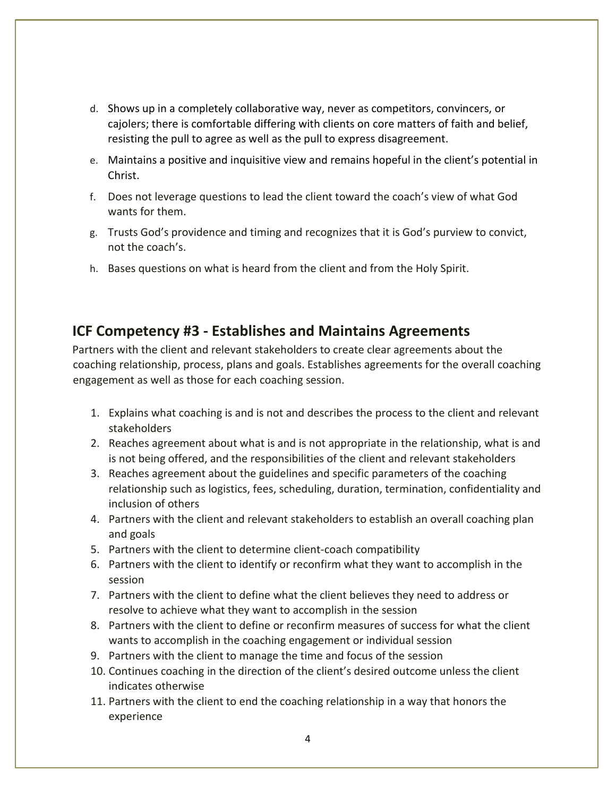- d. Shows up in a completely collaborative way, never as competitors, convincers, or cajolers; there is comfortable differing with clients on core matters of faith and belief, resisting the pull to agree as well as the pull to express disagreement.
- e. Maintains a positive and inquisitive view and remains hopeful in the client's potential in Christ.
- f. Does not leverage questions to lead the client toward the coach's view of what God wants for them.
- g. Trusts God's providence and timing and recognizes that it is God's purview to convict, not the coach's.
- h. Bases questions on what is heard from the client and from the Holy Spirit.

# **ICF Competency #3 - Establishes and Maintains Agreements**

Partners with the client and relevant stakeholders to create clear agreements about the coaching relationship, process, plans and goals. Establishes agreements for the overall coaching engagement as well as those for each coaching session.

- 1. Explains what coaching is and is not and describes the process to the client and relevant stakeholders
- 2. Reaches agreement about what is and is not appropriate in the relationship, what is and is not being offered, and the responsibilities of the client and relevant stakeholders
- 3. Reaches agreement about the guidelines and specific parameters of the coaching relationship such as logistics, fees, scheduling, duration, termination, confidentiality and inclusion of others
- 4. Partners with the client and relevant stakeholders to establish an overall coaching plan and goals
- 5. Partners with the client to determine client-coach compatibility
- 6. Partners with the client to identify or reconfirm what they want to accomplish in the session
- 7. Partners with the client to define what the client believes they need to address or resolve to achieve what they want to accomplish in the session
- 8. Partners with the client to define or reconfirm measures of success for what the client wants to accomplish in the coaching engagement or individual session
- 9. Partners with the client to manage the time and focus of the session
- 10. Continues coaching in the direction of the client's desired outcome unless the client indicates otherwise
- 11. Partners with the client to end the coaching relationship in a way that honors the experience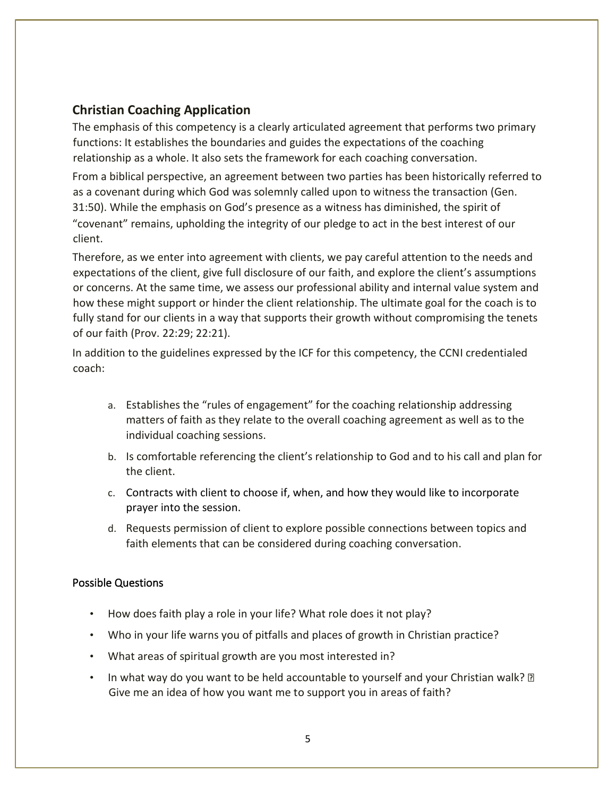### **Christian Coaching Application**

The emphasis of this competency is a clearly articulated agreement that performs two primary functions: It establishes the boundaries and guides the expectations of the coaching relationship as a whole. It also sets the framework for each coaching conversation.

From a biblical perspective, an agreement between two parties has been historically referred to as a covenant during which God was solemnly called upon to witness the transaction (Gen. 31:50). While the emphasis on God's presence as a witness has diminished, the spirit of "covenant" remains, upholding the integrity of our pledge to act in the best interest of our client.

Therefore, as we enter into agreement with clients, we pay careful attention to the needs and expectations of the client, give full disclosure of our faith, and explore the client's assumptions or concerns. At the same time, we assess our professional ability and internal value system and how these might support or hinder the client relationship. The ultimate goal for the coach is to fully stand for our clients in a way that supports their growth without compromising the tenets of our faith (Prov. 22:29; 22:21).

In addition to the guidelines expressed by the ICF for this competency, the CCNI credentialed coach:

- a. Establishes the "rules of engagement" for the coaching relationship addressing matters of faith as they relate to the overall coaching agreement as well as to the individual coaching sessions.
- b. Is comfortable referencing the client's relationship to God and to his call and plan for the client.
- c. Contracts with client to choose if, when, and how they would like to incorporate prayer into the session.
- d. Requests permission of client to explore possible connections between topics and faith elements that can be considered during coaching conversation.

#### Possible Questions

- How does faith play a role in your life? What role does it not play?
- Who in your life warns you of pitfalls and places of growth in Christian practice?
- What areas of spiritual growth are you most interested in?
- In what way do you want to be held accountable to yourself and your Christian walk?  $\mathbb D$ Give me an idea of how you want me to support you in areas of faith?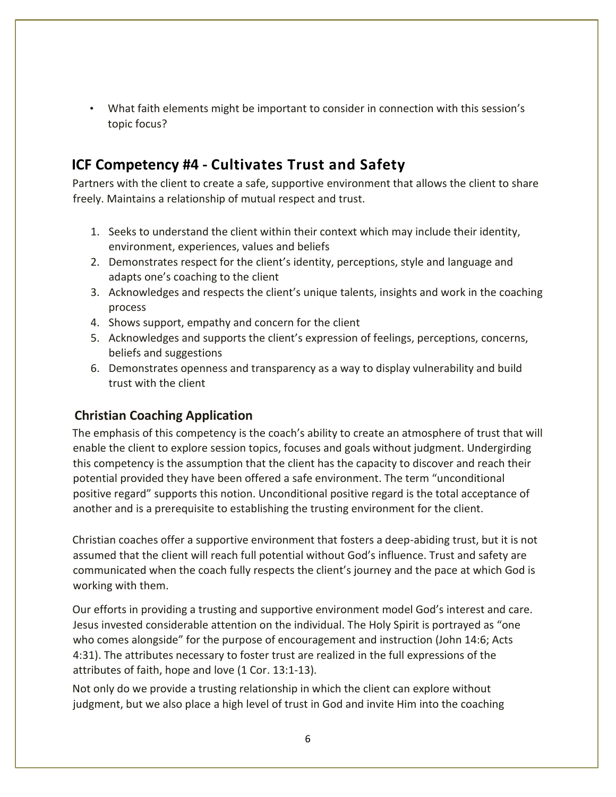• What faith elements might be important to consider in connection with this session's topic focus?

# **ICF Competency #4 - Cultivates Trust and Safety**

Partners with the client to create a safe, supportive environment that allows the client to share freely. Maintains a relationship of mutual respect and trust.

- 1. Seeks to understand the client within their context which may include their identity, environment, experiences, values and beliefs
- 2. Demonstrates respect for the client's identity, perceptions, style and language and adapts one's coaching to the client
- 3. Acknowledges and respects the client's unique talents, insights and work in the coaching process
- 4. Shows support, empathy and concern for the client
- 5. Acknowledges and supports the client's expression of feelings, perceptions, concerns, beliefs and suggestions
- 6. Demonstrates openness and transparency as a way to display vulnerability and build trust with the client

### **Christian Coaching Application**

The emphasis of this competency is the coach's ability to create an atmosphere of trust that will enable the client to explore session topics, focuses and goals without judgment. Undergirding this competency is the assumption that the client has the capacity to discover and reach their potential provided they have been offered a safe environment. The term "unconditional positive regard" supports this notion. Unconditional positive regard is the total acceptance of another and is a prerequisite to establishing the trusting environment for the client.

Christian coaches offer a supportive environment that fosters a deep-abiding trust, but it is not assumed that the client will reach full potential without God's influence. Trust and safety are communicated when the coach fully respects the client's journey and the pace at which God is working with them.

Our efforts in providing a trusting and supportive environment model God's interest and care. Jesus invested considerable attention on the individual. The Holy Spirit is portrayed as "one who comes alongside" for the purpose of encouragement and instruction (John 14:6; Acts 4:31). The attributes necessary to foster trust are realized in the full expressions of the attributes of faith, hope and love (1 Cor. 13:1-13).

Not only do we provide a trusting relationship in which the client can explore without judgment, but we also place a high level of trust in God and invite Him into the coaching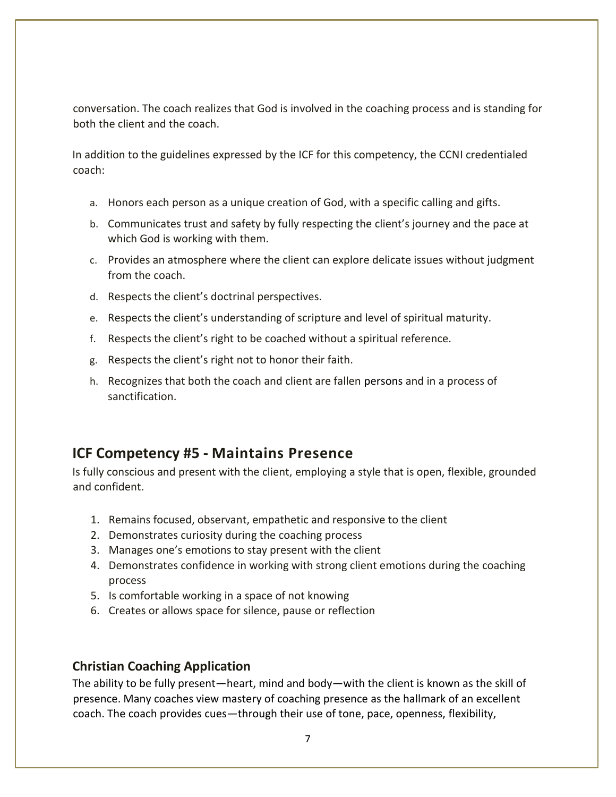conversation. The coach realizes that God is involved in the coaching process and is standing for both the client and the coach.

In addition to the guidelines expressed by the ICF for this competency, the CCNI credentialed coach:

- a. Honors each person as a unique creation of God, with a specific calling and gifts.
- b. Communicates trust and safety by fully respecting the client's journey and the pace at which God is working with them.
- c. Provides an atmosphere where the client can explore delicate issues without judgment from the coach.
- d. Respects the client's doctrinal perspectives.
- e. Respects the client's understanding of scripture and level of spiritual maturity.
- f. Respects the client's right to be coached without a spiritual reference.
- g. Respects the client's right not to honor their faith.
- h. Recognizes that both the coach and client are fallen persons and in a process of sanctification.

# **ICF Competency #5 - Maintains Presence**

Is fully conscious and present with the client, employing a style that is open, flexible, grounded and confident.

- 1. Remains focused, observant, empathetic and responsive to the client
- 2. Demonstrates curiosity during the coaching process
- 3. Manages one's emotions to stay present with the client
- 4. Demonstrates confidence in working with strong client emotions during the coaching process
- 5. Is comfortable working in a space of not knowing
- 6. Creates or allows space for silence, pause or reflection

#### **Christian Coaching Application**

The ability to be fully present—heart, mind and body—with the client is known as the skill of presence. Many coaches view mastery of coaching presence as the hallmark of an excellent coach. The coach provides cues—through their use of tone, pace, openness, flexibility,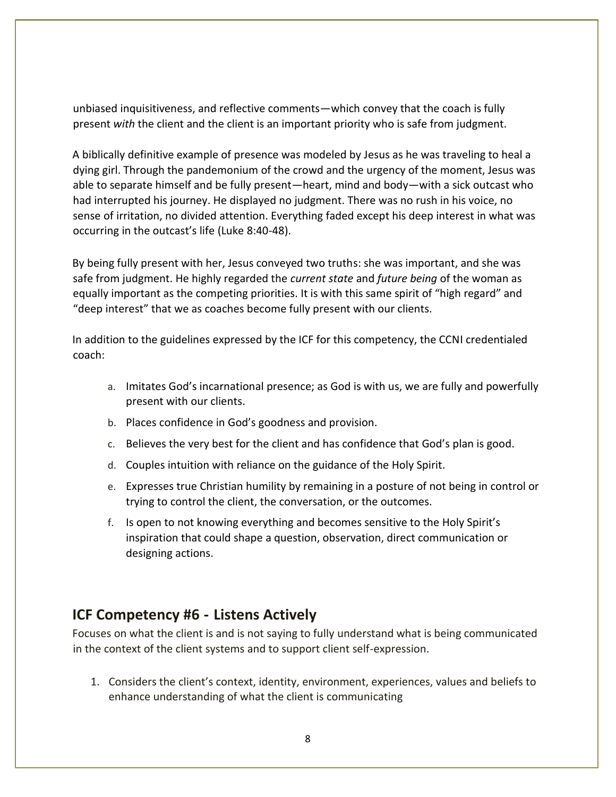unbiased inquisitiveness, and reflective comments—which convey that the coach is fully present *with* the client and the client is an important priority who is safe from judgment.

A biblically definitive example of presence was modeled by Jesus as he was traveling to heal a dying girl. Through the pandemonium of the crowd and the urgency of the moment, Jesus was able to separate himself and be fully present—heart, mind and body—with a sick outcast who had interrupted his journey. He displayed no judgment. There was no rush in his voice, no sense of irritation, no divided attention. Everything faded except his deep interest in what was occurring in the outcast's life (Luke 8:40-48).

By being fully present with her, Jesus conveyed two truths: she was important, and she was safe from judgment. He highly regarded the *current state* and *future being* of the woman as equally important as the competing priorities. It is with this same spirit of "high regard" and "deep interest" that we as coaches become fully present with our clients.

In addition to the guidelines expressed by the ICF for this competency, the CCNI credentialed coach:

- a. Imitates God's incarnational presence; as God is with us, we are fully and powerfully present with our clients.
- b. Places confidence in God's goodness and provision.
- c. Believes the very best for the client and has confidence that God's plan is good.
- d. Couples intuition with reliance on the guidance of the Holy Spirit.
- e. Expresses true Christian humility by remaining in a posture of not being in control or trying to control the client, the conversation, or the outcomes.
- f. Is open to not knowing everything and becomes sensitive to the Holy Spirit's inspiration that could shape a question, observation, direct communication or designing actions.

### **ICF Competency #6 - Listens Actively**

Focuses on what the client is and is not saying to fully understand what is being communicated in the context of the client systems and to support client self-expression.

1. Considers the client's context, identity, environment, experiences, values and beliefs to enhance understanding of what the client is communicating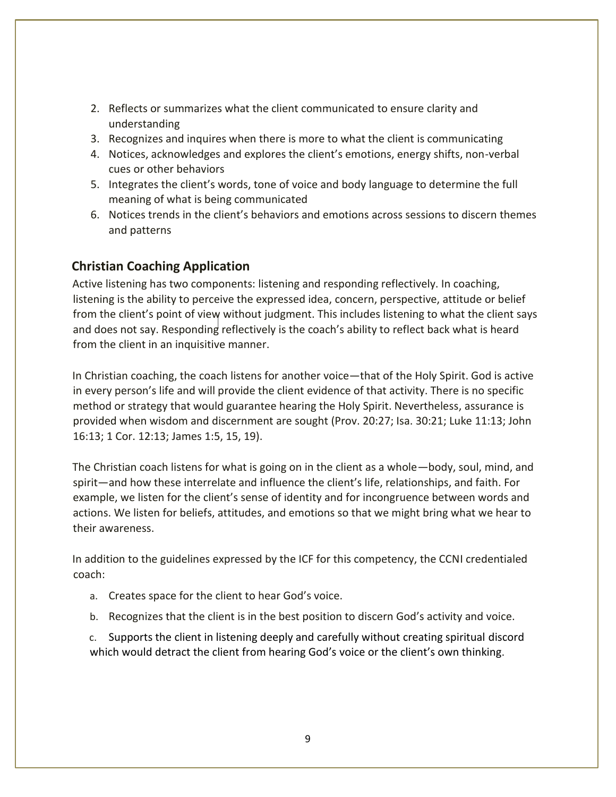- 2. Reflects or summarizes what the client communicated to ensure clarity and understanding
- 3. Recognizes and inquires when there is more to what the client is communicating
- 4. Notices, acknowledges and explores the client's emotions, energy shifts, non-verbal cues or other behaviors
- 5. Integrates the client's words, tone of voice and body language to determine the full meaning of what is being communicated
- 6. Notices trends in the client's behaviors and emotions across sessions to discern themes and patterns

### **Christian Coaching Application**

Active listening has two components: listening and responding reflectively. In coaching, listening is the ability to perceive the expressed idea, concern, perspective, attitude or belief from the client's point of view without judgment. This includes listening to what the client says and does not say. Responding reflectively is the coach's ability to reflect back what is heard from the client in an inquisitive manner.

In Christian coaching, the coach listens for another voice—that of the Holy Spirit. God is active in every person's life and will provide the client evidence of that activity. There is no specific method or strategy that would guarantee hearing the Holy Spirit. Nevertheless, assurance is provided when wisdom and discernment are sought (Prov. 20:27; Isa. 30:21; Luke 11:13; John 16:13; 1 Cor. 12:13; James 1:5, 15, 19).

The Christian coach listens for what is going on in the client as a whole—body, soul, mind, and spirit—and how these interrelate and influence the client's life, relationships, and faith. For example, we listen for the client's sense of identity and for incongruence between words and actions. We listen for beliefs, attitudes, and emotions so that we might bring what we hear to their awareness.

In addition to the guidelines expressed by the ICF for this competency, the CCNI credentialed coach:

- a. Creates space for the client to hear God's voice.
- b. Recognizes that the client is in the best position to discern God's activity and voice.

c. Supports the client in listening deeply and carefully without creating spiritual discord which would detract the client from hearing God's voice or the client's own thinking.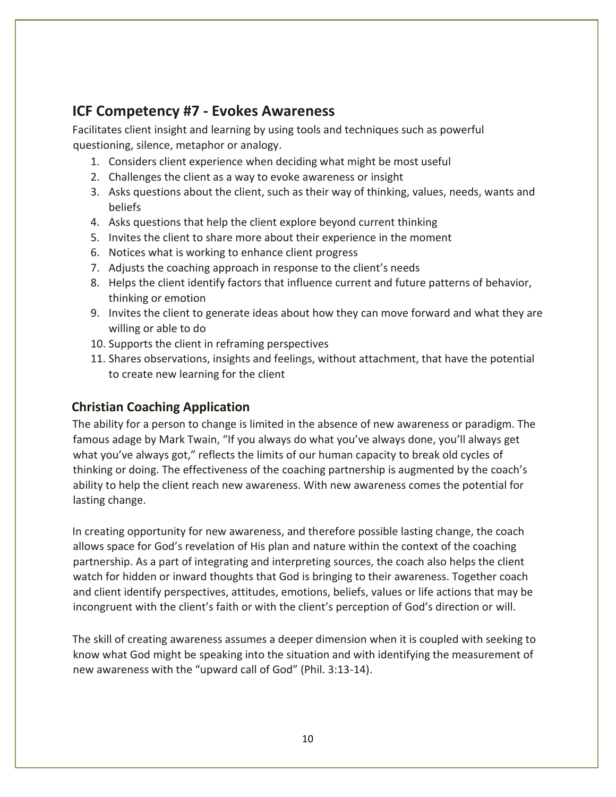# **ICF Competency #7 - Evokes Awareness**

Facilitates client insight and learning by using tools and techniques such as powerful questioning, silence, metaphor or analogy.

- 1. Considers client experience when deciding what might be most useful
- 2. Challenges the client as a way to evoke awareness or insight
- 3. Asks questions about the client, such as their way of thinking, values, needs, wants and beliefs
- 4. Asks questions that help the client explore beyond current thinking
- 5. Invites the client to share more about their experience in the moment
- 6. Notices what is working to enhance client progress
- 7. Adjusts the coaching approach in response to the client's needs
- 8. Helps the client identify factors that influence current and future patterns of behavior, thinking or emotion
- 9. Invites the client to generate ideas about how they can move forward and what they are willing or able to do
- 10. Supports the client in reframing perspectives
- 11. Shares observations, insights and feelings, without attachment, that have the potential to create new learning for the client

### **Christian Coaching Application**

The ability for a person to change is limited in the absence of new awareness or paradigm. The famous adage by Mark Twain, "If you always do what you've always done, you'll always get what you've always got," reflects the limits of our human capacity to break old cycles of thinking or doing. The effectiveness of the coaching partnership is augmented by the coach's ability to help the client reach new awareness. With new awareness comes the potential for lasting change.

In creating opportunity for new awareness, and therefore possible lasting change, the coach allows space for God's revelation of His plan and nature within the context of the coaching partnership. As a part of integrating and interpreting sources, the coach also helps the client watch for hidden or inward thoughts that God is bringing to their awareness. Together coach and client identify perspectives, attitudes, emotions, beliefs, values or life actions that may be incongruent with the client's faith or with the client's perception of God's direction or will.

The skill of creating awareness assumes a deeper dimension when it is coupled with seeking to know what God might be speaking into the situation and with identifying the measurement of new awareness with the "upward call of God" (Phil. 3:13-14).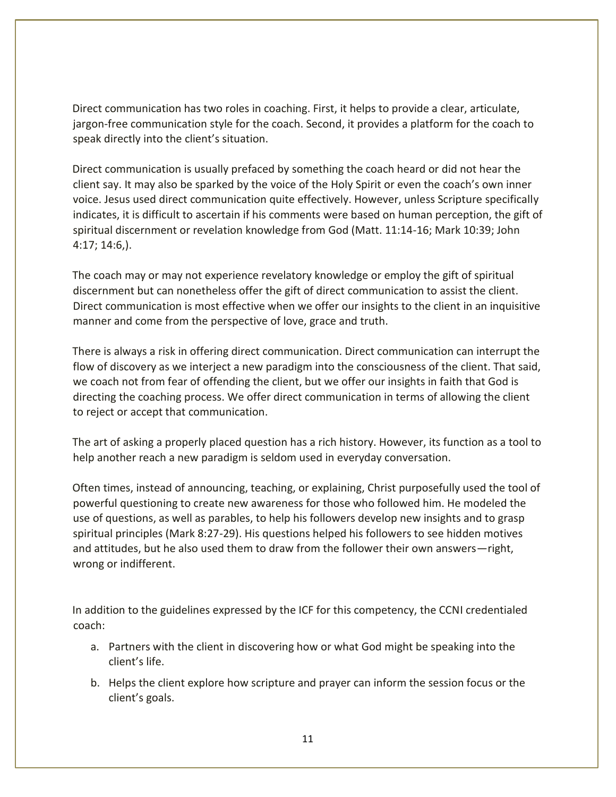Direct communication has two roles in coaching. First, it helps to provide a clear, articulate, jargon-free communication style for the coach. Second, it provides a platform for the coach to speak directly into the client's situation.

Direct communication is usually prefaced by something the coach heard or did not hear the client say. It may also be sparked by the voice of the Holy Spirit or even the coach's own inner voice. Jesus used direct communication quite effectively. However, unless Scripture specifically indicates, it is difficult to ascertain if his comments were based on human perception, the gift of spiritual discernment or revelation knowledge from God (Matt. 11:14-16; Mark 10:39; John 4:17; 14:6,).

The coach may or may not experience revelatory knowledge or employ the gift of spiritual discernment but can nonetheless offer the gift of direct communication to assist the client. Direct communication is most effective when we offer our insights to the client in an inquisitive manner and come from the perspective of love, grace and truth.

There is always a risk in offering direct communication. Direct communication can interrupt the flow of discovery as we interject a new paradigm into the consciousness of the client. That said, we coach not from fear of offending the client, but we offer our insights in faith that God is directing the coaching process. We offer direct communication in terms of allowing the client to reject or accept that communication.

The art of asking a properly placed question has a rich history. However, its function as a tool to help another reach a new paradigm is seldom used in everyday conversation.

Often times, instead of announcing, teaching, or explaining, Christ purposefully used the tool of powerful questioning to create new awareness for those who followed him. He modeled the use of questions, as well as parables, to help his followers develop new insights and to grasp spiritual principles (Mark 8:27-29). His questions helped his followers to see hidden motives and attitudes, but he also used them to draw from the follower their own answers—right, wrong or indifferent.

- a. Partners with the client in discovering how or what God might be speaking into the client's life.
- b. Helps the client explore how scripture and prayer can inform the session focus or the client's goals.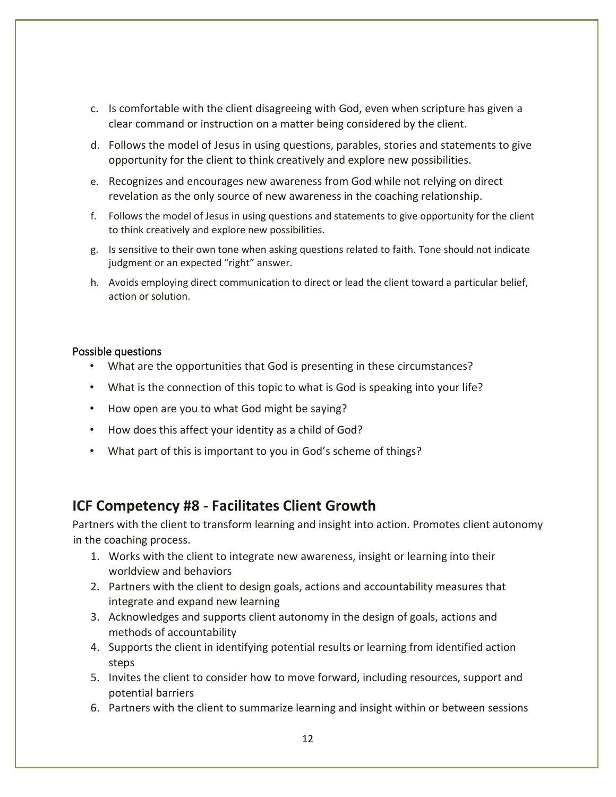- c. Is comfortable with the client disagreeing with God, even when scripture has given a clear command or instruction on a matter being considered by the client.
- d. Follows the model of Jesus in using questions, parables, stories and statements to give opportunity for the client to think creatively and explore new possibilities.
- e. Recognizes and encourages new awareness from God while not relying on direct revelation as the only source of new awareness in the coaching relationship.
- f. Follows the model of Jesus in using questions and statements to give opportunity for the client to think creatively and explore new possibilities.
- g. Is sensitive to their own tone when asking questions related to faith. Tone should not indicate judgment or an expected "right" answer.
- h. Avoids employing direct communication to direct or lead the client toward a particular belief, action or solution.

#### Possible questions

- What are the opportunities that God is presenting in these circumstances?
- What is the connection of this topic to what is God is speaking into your life?
- How open are you to what God might be saying?
- How does this affect your identity as a child of God?
- What part of this is important to you in God's scheme of things?

# **ICF Competency #8 - Facilitates Client Growth**

Partners with the client to transform learning and insight into action. Promotes client autonomy in the coaching process.

- 1. Works with the client to integrate new awareness, insight or learning into their worldview and behaviors
- 2. Partners with the client to design goals, actions and accountability measures that integrate and expand new learning
- 3. Acknowledges and supports client autonomy in the design of goals, actions and methods of accountability
- 4. Supports the client in identifying potential results or learning from identified action steps
- 5. Invites the client to consider how to move forward, including resources, support and potential barriers
- 6. Partners with the client to summarize learning and insight within or between sessions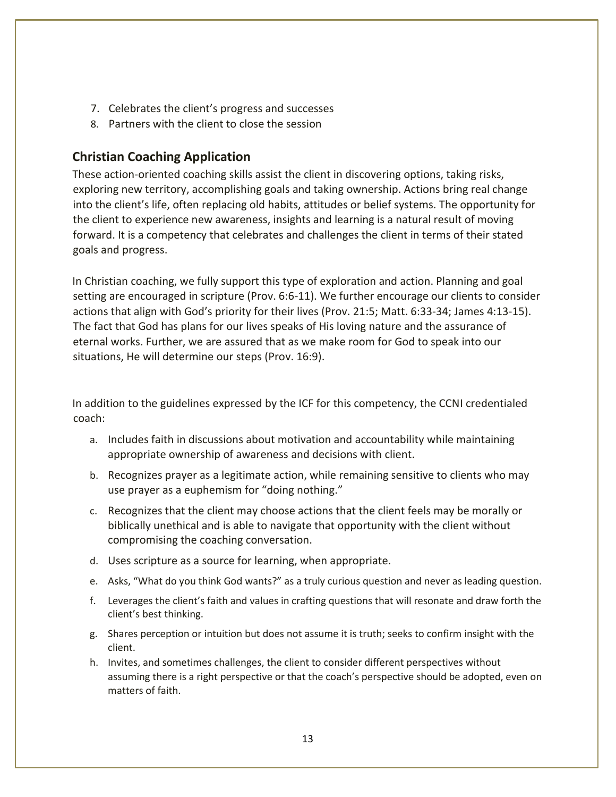- 7. Celebrates the client's progress and successes
- 8. Partners with the client to close the session

### **Christian Coaching Application**

These action-oriented coaching skills assist the client in discovering options, taking risks, exploring new territory, accomplishing goals and taking ownership. Actions bring real change into the client's life, often replacing old habits, attitudes or belief systems. The opportunity for the client to experience new awareness, insights and learning is a natural result of moving forward. It is a competency that celebrates and challenges the client in terms of their stated goals and progress.

In Christian coaching, we fully support this type of exploration and action. Planning and goal setting are encouraged in scripture (Prov. 6:6-11). We further encourage our clients to consider actions that align with God's priority for their lives (Prov. 21:5; Matt. 6:33-34; James 4:13-15). The fact that God has plans for our lives speaks of His loving nature and the assurance of eternal works. Further, we are assured that as we make room for God to speak into our situations, He will determine our steps (Prov. 16:9).

- a. Includes faith in discussions about motivation and accountability while maintaining appropriate ownership of awareness and decisions with client.
- b. Recognizes prayer as a legitimate action, while remaining sensitive to clients who may use prayer as a euphemism for "doing nothing."
- c. Recognizes that the client may choose actions that the client feels may be morally or biblically unethical and is able to navigate that opportunity with the client without compromising the coaching conversation.
- d. Uses scripture as a source for learning, when appropriate.
- e. Asks, "What do you think God wants?" as a truly curious question and never as leading question.
- f. Leverages the client's faith and values in crafting questions that will resonate and draw forth the client's best thinking.
- g. Shares perception or intuition but does not assume it is truth; seeks to confirm insight with the client.
- h. Invites, and sometimes challenges, the client to consider different perspectives without assuming there is a right perspective or that the coach's perspective should be adopted, even on matters of faith.